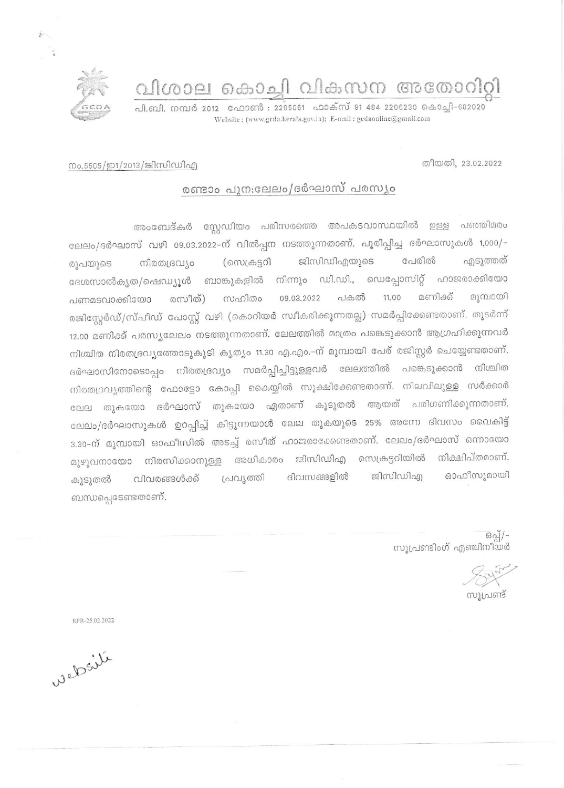വിശാല കൊച്ചി വികസന അതോറിറ്റി

പി.ബി. നമ്പർ 2012 - ഫോൺ : 2205061 - ഫാക്സ് 91 484 2206230 കൊച്ചി-682020 Website: (www.gcda.kerala.gov.in); E-mail: gcdaonline@gmail.com

തീയതി, 23.02.2022

## നം.5505/ഇ1/2013/ജിസിഡിഎ

 $\tilde{z}$ 

## രണ്ടാം പുന:ലേലം/ദർഘാസ് പരസ്യം

അംബേദ്കർ സ്റ്റേഡിയം പരിസരത്തെ അപകടവാസ്ഥയിൽ ഉള്ള പഞ്ഞിമരം ലേലം/ദർഘാസ് വഴി 09.03.2022-ന് വിൽപ്പന നടത്തുന്നതാണ്. പൂരിപ്പിച്ച ദർഘാസുകൾ 1,000/-എടുത്തത് ജിസിഡിഎയുടെ പേരിൽ (സെക്രട്ടറി നിരതദ്രവ്യം രുപയുടെ ദേശസാൽകൃത/ഷെഡ്യുൾ ബാങ്കുകളിൽ നിന്നും ഡി.ഡി., ഡെപ്പോസിറ്റ് ഹാജരാക്കിയോ മണിക്ക് മൂമ്പായി പകൽ 11.00 രസീത്) സഹിതം 09.03.2022 പണമടവാക്കിയോ രജിസ്റ്റേർഡ്/സ്പീഡ് പോസ്റ്റ് വഴി (കൊറിയർ സ്ഥീകരിക്കുന്നതല്ല) സമർപ്പിക്കേണ്ടതാണ്. തുടർന്ന് 12.00 മണിക്ക് പരസ്യലേലം നടത്തുന്നതാണ്. ലേലത്തിൽ മാത്രം പങ്കെടുക്കാൻ ആഗ്രഹിക്കുന്നവർ നിശ്ചിത നിരതദ്രവൃത്തോടുകൂടി കൃത്യം 11.30 എ.എം.–ന് മുമ്പായി പേര് രജിസ്റ്റർ ചെയ്യേണ്ടതാണ്. ദർഘാസിനോടൊപ്പം നിരതദ്രവ്യം സമർപ്പിച്ചിട്ടുള്ളവർ ലേലത്തിൽ പങ്കെടുക്കാൻ നിശ്ചിത നിരതദ്രവൃത്തിന്റെ ഫോട്ടോ കോപ്പി കൈയ്യിൽ സൂക്ഷിക്കേണ്ടതാണ്. നിലവിലുള്ള സർക്കാർ ലേല തുകയോ ദർഘാസ് തുകയോ ഏതാണ് കൂടുതൽ ആയത് പരിഗണിക്കുന്നതാണ്. ലേലം/ദർഘാസുകൾ ഉറപ്പിച്ച് കിട്ടുന്നയാൾ ലേല തുകയുടെ 25% അന്നേ ദിവസം വൈകിട്ട് 3.30-ന് മുമ്പായി ഓഫീസിൽ അടച്ച് രസീത് ഹാജരാക്കേണ്ടതാണ്. ലേലം/ദർഘാസ് ഒന്നായോ മുഴുവനായോ നിരസിക്കാനുള്ള അധികാരം ജിസിഡിഎ സെക്രട്ടറിയിൽ നിക്ഷിപ്തമാണ്. ഓഫീസുമായി ജിസിഡിഎ ദിവസങ്ങളിൽ പ്രവൃത്തി വിവരങ്ങൾക്ക് കൂടുതൽ ബന്ധപ്പെടേണ്ടതാണ്.

> ഒപ്പ്/-സുപ്രണ്ടിംഗ് എഞ്ചിനീയർ

.<br>സൂപ്രണ്ട്

RPR-25.02.2022

Welsile